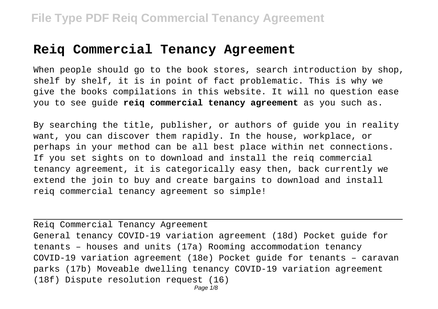#### **Reiq Commercial Tenancy Agreement**

When people should go to the book stores, search introduction by shop, shelf by shelf, it is in point of fact problematic. This is why we give the books compilations in this website. It will no question ease you to see guide **reiq commercial tenancy agreement** as you such as.

By searching the title, publisher, or authors of guide you in reality want, you can discover them rapidly. In the house, workplace, or perhaps in your method can be all best place within net connections. If you set sights on to download and install the reiq commercial tenancy agreement, it is categorically easy then, back currently we extend the join to buy and create bargains to download and install reiq commercial tenancy agreement so simple!

Reiq Commercial Tenancy Agreement General tenancy COVID-19 variation agreement (18d) Pocket guide for tenants – houses and units (17a) Rooming accommodation tenancy COVID-19 variation agreement (18e) Pocket guide for tenants – caravan parks (17b) Moveable dwelling tenancy COVID-19 variation agreement (18f) Dispute resolution request (16)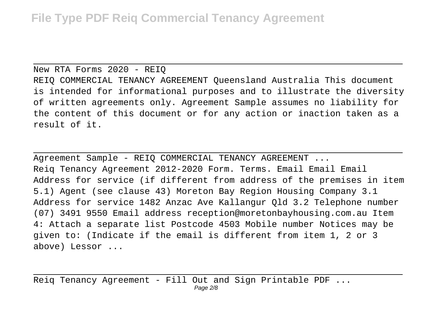New RTA Forms 2020 - REIQ REIQ COMMERCIAL TENANCY AGREEMENT Queensland Australia This document is intended for informational purposes and to illustrate the diversity of written agreements only. Agreement Sample assumes no liability for the content of this document or for any action or inaction taken as a

result of it.

Agreement Sample - REIQ COMMERCIAL TENANCY AGREEMENT ... Reiq Tenancy Agreement 2012-2020 Form. Terms. Email Email Email Address for service (if different from address of the premises in item 5.1) Agent (see clause 43) Moreton Bay Region Housing Company 3.1 Address for service 1482 Anzac Ave Kallangur Qld 3.2 Telephone number (07) 3491 9550 Email address reception@moretonbayhousing.com.au Item 4: Attach a separate list Postcode 4503 Mobile number Notices may be given to: (Indicate if the email is different from item 1, 2 or 3 above) Lessor ...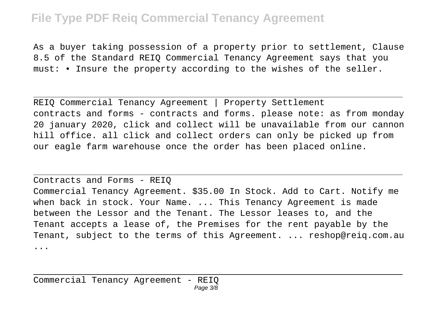As a buyer taking possession of a property prior to settlement, Clause 8.5 of the Standard REIQ Commercial Tenancy Agreement says that you must: • Insure the property according to the wishes of the seller.

REIQ Commercial Tenancy Agreement | Property Settlement contracts and forms - contracts and forms. please note: as from monday 20 january 2020, click and collect will be unavailable from our cannon hill office. all click and collect orders can only be picked up from our eagle farm warehouse once the order has been placed online.

Contracts and Forms - REIQ Commercial Tenancy Agreement. \$35.00 In Stock. Add to Cart. Notify me when back in stock. Your Name. ... This Tenancy Agreement is made between the Lessor and the Tenant. The Lessor leases to, and the Tenant accepts a lease of, the Premises for the rent payable by the Tenant, subject to the terms of this Agreement. ... reshop@reiq.com.au ...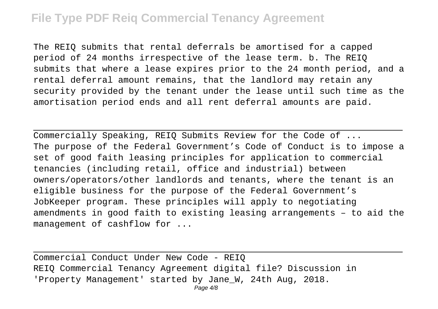The REIQ submits that rental deferrals be amortised for a capped period of 24 months irrespective of the lease term. b. The REIQ submits that where a lease expires prior to the 24 month period, and a rental deferral amount remains, that the landlord may retain any security provided by the tenant under the lease until such time as the amortisation period ends and all rent deferral amounts are paid.

Commercially Speaking, REIQ Submits Review for the Code of ... The purpose of the Federal Government's Code of Conduct is to impose a set of good faith leasing principles for application to commercial tenancies (including retail, office and industrial) between owners/operators/other landlords and tenants, where the tenant is an eligible business for the purpose of the Federal Government's JobKeeper program. These principles will apply to negotiating amendments in good faith to existing leasing arrangements – to aid the management of cashflow for ...

Commercial Conduct Under New Code - REIQ REIQ Commercial Tenancy Agreement digital file? Discussion in 'Property Management' started by Jane\_W, 24th Aug, 2018.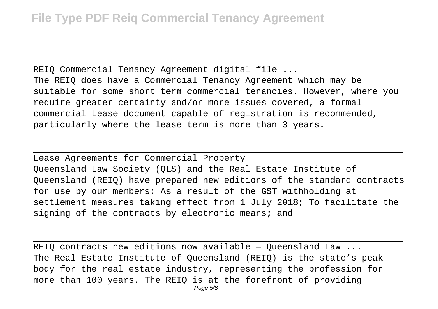REIQ Commercial Tenancy Agreement digital file ... The REIQ does have a Commercial Tenancy Agreement which may be suitable for some short term commercial tenancies. However, where you require greater certainty and/or more issues covered, a formal commercial Lease document capable of registration is recommended, particularly where the lease term is more than 3 years.

Lease Agreements for Commercial Property Queensland Law Society (QLS) and the Real Estate Institute of Queensland (REIQ) have prepared new editions of the standard contracts for use by our members: As a result of the GST withholding at settlement measures taking effect from 1 July 2018; To facilitate the signing of the contracts by electronic means; and

REIQ contracts new editions now available — Queensland Law ... The Real Estate Institute of Queensland (REIQ) is the state's peak body for the real estate industry, representing the profession for more than 100 years. The REIQ is at the forefront of providing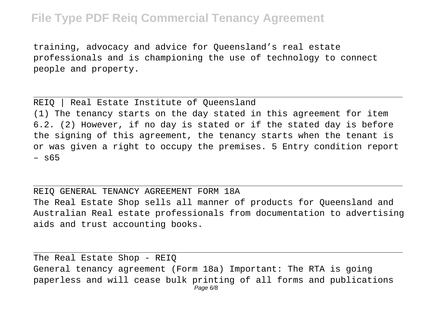training, advocacy and advice for Queensland's real estate professionals and is championing the use of technology to connect people and property.

#### REIQ | Real Estate Institute of Queensland

(1) The tenancy starts on the day stated in this agreement for item 6.2. (2) However, if no day is stated or if the stated day is before the signing of this agreement, the tenancy starts when the tenant is or was given a right to occupy the premises. 5 Entry condition report – s65

REIQ GENERAL TENANCY AGREEMENT FORM 18A The Real Estate Shop sells all manner of products for Queensland and Australian Real estate professionals from documentation to advertising aids and trust accounting books.

The Real Estate Shop - REIQ

General tenancy agreement (Form 18a) Important: The RTA is going paperless and will cease bulk printing of all forms and publications Page 6/8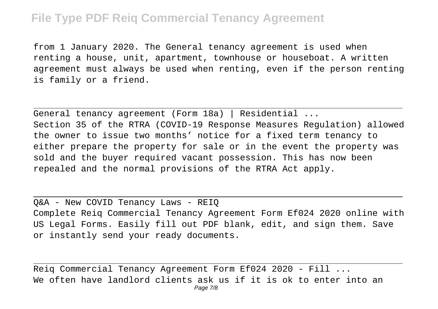from 1 January 2020. The General tenancy agreement is used when renting a house, unit, apartment, townhouse or houseboat. A written agreement must always be used when renting, even if the person renting is family or a friend.

General tenancy agreement (Form 18a) | Residential ... Section 35 of the RTRA (COVID-19 Response Measures Regulation) allowed the owner to issue two months' notice for a fixed term tenancy to either prepare the property for sale or in the event the property was sold and the buyer required vacant possession. This has now been repealed and the normal provisions of the RTRA Act apply.

Q&A - New COVID Tenancy Laws - REIQ Complete Reiq Commercial Tenancy Agreement Form Ef024 2020 online with US Legal Forms. Easily fill out PDF blank, edit, and sign them. Save or instantly send your ready documents.

Reiq Commercial Tenancy Agreement Form Ef024 2020 - Fill ... We often have landlord clients ask us if it is ok to enter into an Page 7/8